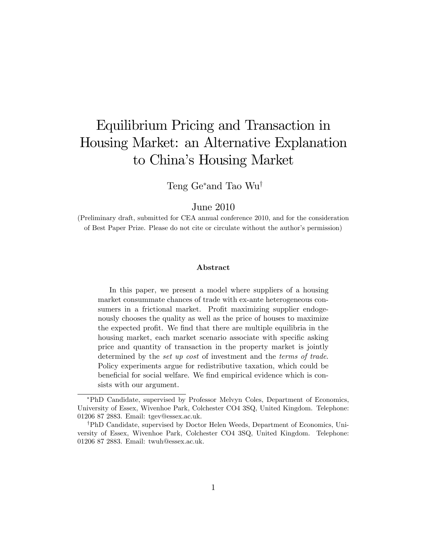# Equilibrium Pricing and Transaction in Housing Market: an Alternative Explanation to China's Housing Market

Teng Ge<sup>\*</sup>and Tao Wu<sup>†</sup>

June 2010

(Preliminary draft, submitted for CEA annual conference 2010, and for the consideration of Best Paper Prize. Please do not cite or circulate without the author's permission)

#### Abstract

In this paper, we present a model where suppliers of a housing market consummate chances of trade with ex-ante heterogeneous consumers in a frictional market. Profit maximizing supplier endogenously chooses the quality as well as the price of houses to maximize the expected profit. We find that there are multiple equilibria in the housing market, each market scenario associate with specific asking price and quantity of transaction in the property market is jointly determined by the set up cost of investment and the terms of trade. Policy experiments argue for redistributive taxation, which could be beneficial for social welfare. We find empirical evidence which is consists with our argument.

PhD Candidate, supervised by Professor Melvyn Coles, Department of Economics, University of Essex, Wivenhoe Park, Colchester CO4 3SQ, United Kingdom. Telephone: 01206 87 2883. Email: tgev@essex.ac.uk.

<sup>&</sup>lt;sup>†</sup>PhD Candidate, supervised by Doctor Helen Weeds, Department of Economics, University of Essex, Wivenhoe Park, Colchester CO4 3SQ, United Kingdom. Telephone: 01206 87 2883. Email: twuh@essex.ac.uk.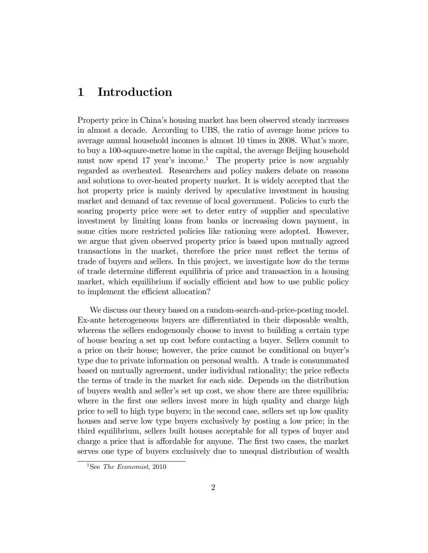### 1 Introduction

Property price in Chinaís housing market has been observed steady increases in almost a decade. According to UBS, the ratio of average home prices to average annual household incomes is almost 10 times in 2008. What's more, to buy a 100-square-metre home in the capital, the average Beijing household must now spend 17 year's income.<sup>1</sup> The property price is now arguably regarded as overheated. Researchers and policy makers debate on reasons and solutions to over-heated property market. It is widely accepted that the hot property price is mainly derived by speculative investment in housing market and demand of tax revenue of local government. Policies to curb the soaring property price were set to deter entry of supplier and speculative investment by limiting loans from banks or increasing down payment, in some cities more restricted policies like rationing were adopted. However, we argue that given observed property price is based upon mutually agreed transactions in the market, therefore the price must reflect the terms of trade of buyers and sellers. In this project, we investigate how do the terms of trade determine different equilibria of price and transaction in a housing market, which equilibrium if socially efficient and how to use public policy to implement the efficient allocation?

We discuss our theory based on a random-search-and-price-posting model. Ex-ante heterogeneous buyers are differentiated in their disposable wealth, whereas the sellers endogenously choose to invest to building a certain type of house bearing a set up cost before contacting a buyer. Sellers commit to a price on their house; however, the price cannot be conditional on buyerís type due to private information on personal wealth. A trade is consummated based on mutually agreement, under individual rationality; the price reflects the terms of trade in the market for each side. Depends on the distribution of buyers wealth and sellerís set up cost, we show there are three equilibria: where in the first one sellers invest more in high quality and charge high price to sell to high type buyers; in the second case, sellers set up low quality houses and serve low type buyers exclusively by posting a low price; in the third equilibrium, sellers built houses acceptable for all types of buyer and charge a price that is affordable for anyone. The first two cases, the market serves one type of buyers exclusively due to unequal distribution of wealth

<sup>&</sup>lt;sup>1</sup>See *The Economist*, 2010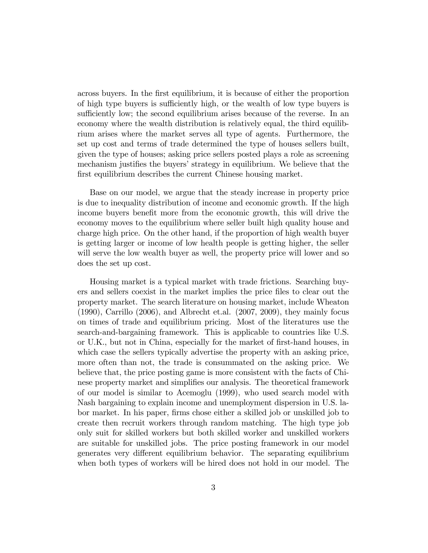across buyers. In the first equilibrium, it is because of either the proportion of high type buyers is sufficiently high, or the wealth of low type buyers is sufficiently low; the second equilibrium arises because of the reverse. In an economy where the wealth distribution is relatively equal, the third equilibrium arises where the market serves all type of agents. Furthermore, the set up cost and terms of trade determined the type of houses sellers built, given the type of houses; asking price sellers posted plays a role as screening mechanism justifies the buyers' strategy in equilibrium. We believe that the first equilibrium describes the current Chinese housing market.

Base on our model, we argue that the steady increase in property price is due to inequality distribution of income and economic growth. If the high income buyers benefit more from the economic growth, this will drive the economy moves to the equilibrium where seller built high quality house and charge high price. On the other hand, if the proportion of high wealth buyer is getting larger or income of low health people is getting higher, the seller will serve the low wealth buyer as well, the property price will lower and so does the set up cost.

Housing market is a typical market with trade frictions. Searching buyers and sellers coexist in the market implies the price Öles to clear out the property market. The search literature on housing market, include Wheaton (1990), Carrillo (2006), and Albrecht et.al. (2007, 2009), they mainly focus on times of trade and equilibrium pricing. Most of the literatures use the search-and-bargaining framework. This is applicable to countries like U.S. or U.K., but not in China, especially for the market of first-hand houses, in which case the sellers typically advertise the property with an asking price, more often than not, the trade is consummated on the asking price. We believe that, the price posting game is more consistent with the facts of Chinese property market and simplifies our analysis. The theoretical framework of our model is similar to Acemoglu (1999), who used search model with Nash bargaining to explain income and unemployment dispersion in U.S. labor market. In his paper, Örms chose either a skilled job or unskilled job to create then recruit workers through random matching. The high type job only suit for skilled workers but both skilled worker and unskilled workers are suitable for unskilled jobs. The price posting framework in our model generates very different equilibrium behavior. The separating equilibrium when both types of workers will be hired does not hold in our model. The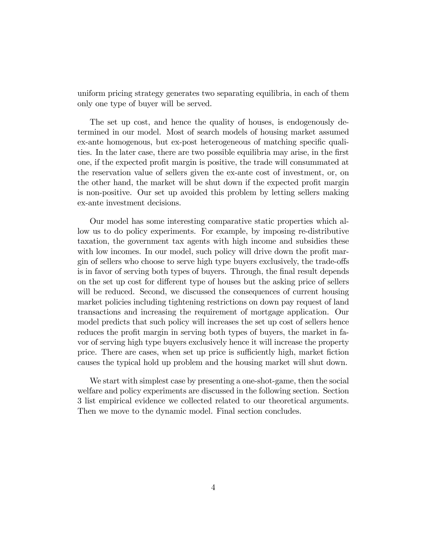uniform pricing strategy generates two separating equilibria, in each of them only one type of buyer will be served.

The set up cost, and hence the quality of houses, is endogenously determined in our model. Most of search models of housing market assumed ex-ante homogenous, but ex-post heterogeneous of matching specific qualities. In the later case, there are two possible equilibria may arise, in the first one, if the expected profit margin is positive, the trade will consummated at the reservation value of sellers given the ex-ante cost of investment, or, on the other hand, the market will be shut down if the expected profit margin is non-positive. Our set up avoided this problem by letting sellers making ex-ante investment decisions.

Our model has some interesting comparative static properties which allow us to do policy experiments. For example, by imposing re-distributive taxation, the government tax agents with high income and subsidies these with low incomes. In our model, such policy will drive down the profit margin of sellers who choose to serve high type buyers exclusively, the trade-offs is in favor of serving both types of buyers. Through, the final result depends on the set up cost for different type of houses but the asking price of sellers will be reduced. Second, we discussed the consequences of current housing market policies including tightening restrictions on down pay request of land transactions and increasing the requirement of mortgage application. Our model predicts that such policy will increases the set up cost of sellers hence reduces the profit margin in serving both types of buyers, the market in favor of serving high type buyers exclusively hence it will increase the property price. There are cases, when set up price is sufficiently high, market fiction causes the typical hold up problem and the housing market will shut down.

We start with simplest case by presenting a one-shot-game, then the social welfare and policy experiments are discussed in the following section. Section 3 list empirical evidence we collected related to our theoretical arguments. Then we move to the dynamic model. Final section concludes.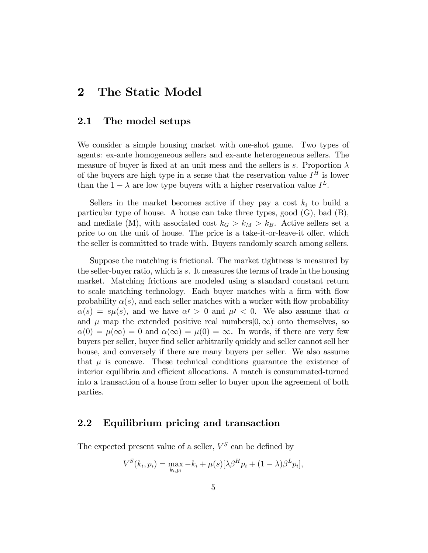### 2 The Static Model

#### 2.1 The model setups

We consider a simple housing market with one-shot game. Two types of agents: ex-ante homogeneous sellers and ex-ante heterogeneous sellers. The measure of buyer is fixed at an unit mess and the sellers is s. Proportion  $\lambda$ of the buyers are high type in a sense that the reservation value  $I^H$  is lower than the  $1 - \lambda$  are low type buyers with a higher reservation value  $I^L$ .

Sellers in the market becomes active if they pay a cost  $k_i$  to build a particular type of house. A house can take three types, good (G), bad (B), and mediate (M), with associated cost  $k_G > k_M > k_B$ . Active sellers set a price to on the unit of house. The price is a take-it-or-leave-it offer, which the seller is committed to trade with. Buyers randomly search among sellers.

Suppose the matching is frictional. The market tightness is measured by the seller-buyer ratio, which is s. It measures the terms of trade in the housing market. Matching frictions are modeled using a standard constant return to scale matching technology. Each buyer matches with a firm with flow probability  $\alpha(s)$ , and each seller matches with a worker with flow probability  $\alpha(s) = s\mu(s)$ , and we have  $\alpha' > 0$  and  $\mu' < 0$ . We also assume that  $\alpha$ and  $\mu$  map the extended positive real numbers  $(0,\infty)$  onto themselves, so  $\alpha(0) = \mu(\infty) = 0$  and  $\alpha(\infty) = \mu(0) = \infty$ . In words, if there are very few buyers per seller, buyer Önd seller arbitrarily quickly and seller cannot sell her house, and conversely if there are many buyers per seller. We also assume that  $\mu$  is concave. These technical conditions guarantee the existence of interior equilibria and efficient allocations. A match is consummated-turned into a transaction of a house from seller to buyer upon the agreement of both parties.

### 2.2 Equilibrium pricing and transaction

The expected present value of a seller,  $V^S$  can be defined by

$$
V^{S}(k_{i}, p_{i}) = \max_{k_{i}, p_{i}} -k_{i} + \mu(s)[\lambda \beta^{H} p_{i} + (1 - \lambda) \beta^{L} p_{i}],
$$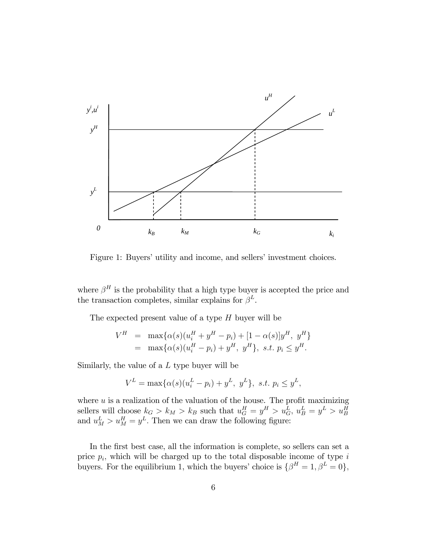

Figure 1: Buyers' utility and income, and sellers' investment choices.

where  $\beta^H$  is the probability that a high type buyer is accepted the price and the transaction completes, similar explains for  $\beta^L$ .

The expected present value of a type  $H$  buyer will be

$$
V^H = \max{\alpha(s)(u_i^H + y^H - p_i) + [1 - \alpha(s)]y^H, y^H}
$$
  
=  $\max{\alpha(s)(u_i^H - p_i) + y^H, y^H}$ , s.t.  $p_i \le y^H$ .

Similarly, the value of a  $L$  type buyer will be

$$
V^{L} = \max\{\alpha(s)(u_i^{L} - p_i) + y^{L}, y^{L}\}, \text{ s.t. } p_i \leq y^{L},
$$

where  $u$  is a realization of the valuation of the house. The profit maximizing sellers will choose  $k_G > k_M > k_B$  such that  $u_G^H = y^H > u_G^L$ ,  $u_B^L = y^L > u_B^H$ and  $u_M^L > u_M^H = y^L$ . Then we can draw the following figure:

In the first best case, all the information is complete, so sellers can set a price  $p_i$ , which will be charged up to the total disposable income of type  $i$ buyers. For the equilibrium 1, which the buyers' choice is  $\{\beta^H = 1, \beta^L = 0\},\$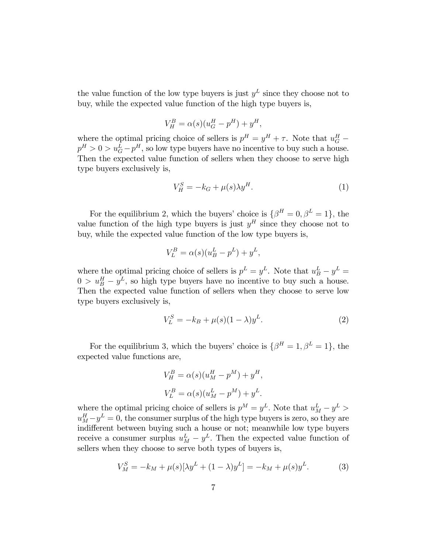the value function of the low type buyers is just  $y<sup>L</sup>$  since they choose not to buy, while the expected value function of the high type buyers is,

$$
V_H^B = \alpha(s)(u_G^H - p^H) + y^H,
$$

where the optimal pricing choice of sellers is  $p^H = y^H + \tau$ . Note that  $u_G^H$  –  $p^H > 0 > u_G^L - p^H$ , so low type buyers have no incentive to buy such a house. Then the expected value function of sellers when they choose to serve high type buyers exclusively is,

$$
V_H^S = -k_G + \mu(s)\lambda y^H. \tag{1}
$$

For the equilibrium 2, which the buyers' choice is  $\{\beta^H = 0, \beta^L = 1\}$ , the value function of the high type buyers is just  $y<sup>H</sup>$  since they choose not to buy, while the expected value function of the low type buyers is,

$$
V_L^B = \alpha(s)(u_B^L - p^L) + y^L,
$$

where the optimal pricing choice of sellers is  $p^L = y^L$ . Note that  $u_B^L - y^L =$  $0 > u_B^H - y^L$ , so high type buyers have no incentive to buy such a house. Then the expected value function of sellers when they choose to serve low type buyers exclusively is,

$$
V_L^S = -k_B + \mu(s)(1 - \lambda)y^L.
$$
 (2)

For the equilibrium 3, which the buyers' choice is  $\{\beta^H = 1, \beta^L = 1\}$ , the expected value functions are,

$$
V_H^B = \alpha(s)(u_M^H - p^M) + y^H,
$$
  
\n
$$
V_L^B = \alpha(s)(u_M^L - p^M) + y^L.
$$

where the optimal pricing choice of sellers is  $p^M = y^L$ . Note that  $u_M^L - y^L >$  $u_M^H - y^L = 0$ , the consumer surplus of the high type buyers is zero, so they are indifferent between buying such a house or not; meanwhile low type buyers receive a consumer surplus  $u_M^L - y^L$ . Then the expected value function of sellers when they choose to serve both types of buyers is,

$$
V_M^S = -k_M + \mu(s)[\lambda y^L + (1 - \lambda)y^L] = -k_M + \mu(s)y^L.
$$
 (3)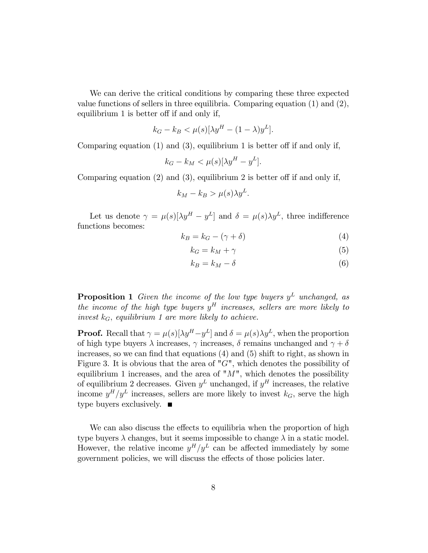We can derive the critical conditions by comparing these three expected value functions of sellers in three equilibria. Comparing equation (1) and (2), equilibrium  $1$  is better off if and only if,

$$
k_G - k_B < \mu(s)[\lambda y^H - (1 - \lambda)y^L].
$$

Comparing equation  $(1)$  and  $(3)$ , equilibrium 1 is better off if and only if,

$$
k_G - k_M < \mu(s)[\lambda y^H - y^L].
$$

Comparing equation  $(2)$  and  $(3)$ , equilibrium 2 is better off if and only if,

$$
k_M - k_B > \mu(s) \lambda y^L.
$$

Let us denote  $\gamma = \mu(s)[\lambda y^H - y^L]$  and  $\delta = \mu(s)\lambda y^L$ , three indifference functions becomes:

$$
k_B = k_G - (\gamma + \delta) \tag{4}
$$

$$
k_G = k_M + \gamma \tag{5}
$$

$$
k_B = k_M - \delta \tag{6}
$$

**Proposition 1** Given the income of the low type buyers  $y^L$  unchanged, as the income of the high type buyers  $y<sup>H</sup>$  increases, sellers are more likely to invest  $k_G$ , equilibrium 1 are more likely to achieve.

**Proof.** Recall that  $\gamma = \mu(s)[\lambda y^H - y^L]$  and  $\delta = \mu(s)\lambda y^L$ , when the proportion of high type buyers  $\lambda$  increases,  $\gamma$  increases,  $\delta$  remains unchanged and  $\gamma + \delta$ increases, so we can find that equations  $(4)$  and  $(5)$  shift to right, as shown in Figure 3. It is obvious that the area of " $G$ ", which denotes the possibility of equilibrium 1 increases, and the area of " $M$ ", which denotes the possibility of equilibrium 2 decreases. Given  $y^L$  unchanged, if  $y^H$  increases, the relative income  $y^H/y^L$  increases, sellers are more likely to invest  $k_G$ , serve the high type buyers exclusively.  $\blacksquare$ 

We can also discuss the effects to equilibria when the proportion of high type buyers  $\lambda$  changes, but it seems impossible to change  $\lambda$  in a static model. However, the relative income  $y^H/y^L$  can be affected immediately by some government policies, we will discuss the effects of those policies later.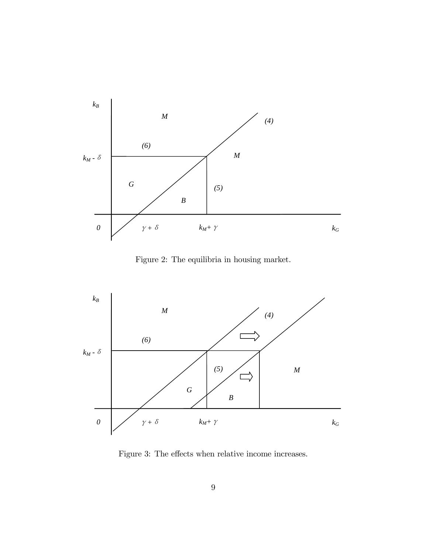

Figure 2: The equilibria in housing market.



Figure 3: The effects when relative income increases.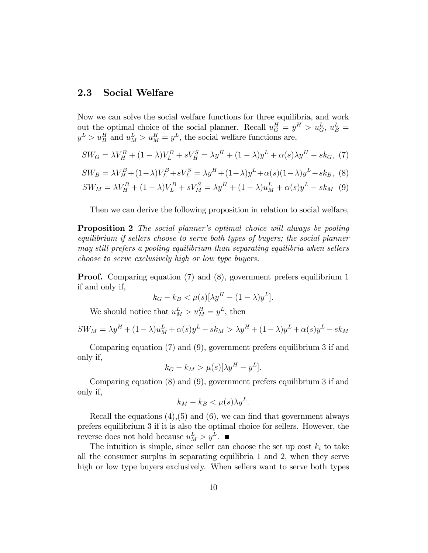### 2.3 Social Welfare

Now we can solve the social welfare functions for three equilibria, and work out the optimal choice of the social planner. Recall  $u_G^H = y^H > u_G^L$ ,  $u_B^L =$  $y^L > u_B^H$  and  $u_M^L > u_M^H = y^L$ , the social welfare functions are,

$$
SW_G = \lambda V_H^B + (1 - \lambda)V_L^B + sV_H^S = \lambda y^H + (1 - \lambda)y^L + \alpha(s)\lambda y^H - sk_G, \tag{7}
$$

$$
SW_B = \lambda V_H^B + (1 - \lambda)V_L^B + sV_L^S = \lambda y^H + (1 - \lambda)y^L + \alpha(s)(1 - \lambda)y^L - sk_B, \tag{8}
$$

$$
SW_M = \lambda V_H^B + (1 - \lambda)V_L^B + sV_M^S = \lambda y^H + (1 - \lambda)u_M^L + \alpha(s)y^L - sk_M
$$
 (9)

Then we can derive the following proposition in relation to social welfare,

**Proposition 2** The social planner's optimal choice will always be pooling equilibrium if sellers choose to serve both types of buyers; the social planner may still prefers a pooling equilibrium than separating equilibria when sellers choose to serve exclusively high or low type buyers.

**Proof.** Comparing equation (7) and (8), government prefers equilibrium 1 if and only if,

$$
k_G - k_B < \mu(s)[\lambda y^H - (1 - \lambda)y^L].
$$

We should notice that  $u_M^L > u_M^H = y^L$ , then

$$
SW_M = \lambda y^H + (1 - \lambda)u_M^L + \alpha(s)y^L - sk_M > \lambda y^H + (1 - \lambda)y^L + \alpha(s)y^L - sk_M
$$

Comparing equation (7) and (9), government prefers equilibrium 3 if and only if,

$$
k_G - k_M > \mu(s)[\lambda y^H - y^L].
$$

Comparing equation (8) and (9), government prefers equilibrium 3 if and only if,

$$
k_M - k_B < \mu(s) \lambda y^L.
$$

Recall the equations  $(4),(5)$  and  $(6)$ , we can find that government always prefers equilibrium 3 if it is also the optimal choice for sellers. However, the reverse does not hold because  $u_M^L > y^L$ .

The intuition is simple, since seller can choose the set up cost  $k_i$  to take all the consumer surplus in separating equilibria 1 and 2; when they serve high or low type buyers exclusively. When sellers want to serve both types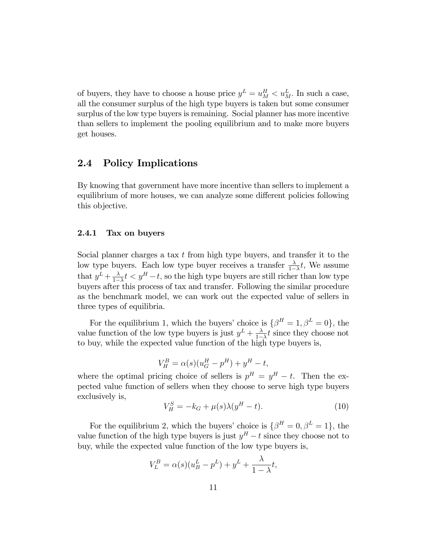of buyers, they have to choose a house price  $y^L = u_M^H < u_M^L$ . In such a case, all the consumer surplus of the high type buyers is taken but some consumer surplus of the low type buyers is remaining. Social planner has more incentive than sellers to implement the pooling equilibrium and to make more buyers get houses.

### 2.4 Policy Implications

By knowing that government have more incentive than sellers to implement a equilibrium of more houses, we can analyze some different policies following this objective.

#### 2.4.1 Tax on buyers

Social planner charges a tax  $t$  from high type buyers, and transfer it to the low type buyers. Each low type buyer receives a transfer  $\frac{\lambda}{1-\lambda}t$ , We assume that  $y^L + \frac{\lambda}{1-\lambda}$  $\frac{\lambda}{1-\lambda}t < y^H - t$ , so the high type buyers are still richer than low type buyers after this process of tax and transfer. Following the similar procedure as the benchmark model, we can work out the expected value of sellers in three types of equilibria.

For the equilibrium 1, which the buyers' choice is  $\{\beta^H = 1, \beta^L = 0\}$ , the value function of the low type buyers is just  $y^L + \frac{\lambda}{1-\lambda}$  $\frac{\lambda}{1-\lambda}t$  since they choose not to buy, while the expected value function of the high type buyers is,

$$
V_H^B = \alpha(s)(u_G^H - p^H) + y^H - t,
$$

where the optimal pricing choice of sellers is  $p^H = y^H - t$ . Then the expected value function of sellers when they choose to serve high type buyers exclusively is,

$$
V_H^S = -k_G + \mu(s)\lambda(y^H - t). \tag{10}
$$

For the equilibrium 2, which the buyers' choice is  $\{\beta^H = 0, \beta^L = 1\}$ , the value function of the high type buyers is just  $y<sup>H</sup> - t$  since they choose not to buy, while the expected value function of the low type buyers is,

$$
V_L^B = \alpha(s)(u_B^L - p^L) + y^L + \frac{\lambda}{1 - \lambda}t,
$$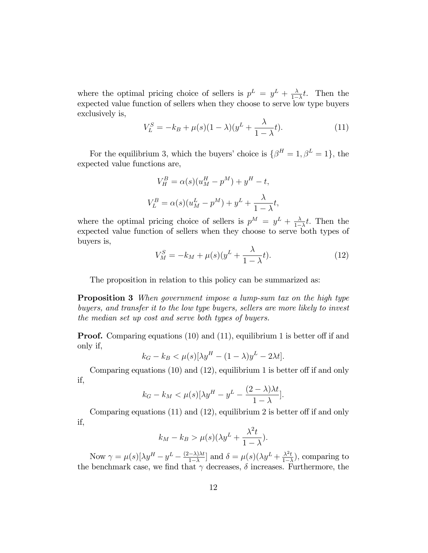where the optimal pricing choice of sellers is  $p^L = y^L + \frac{\lambda}{1 - \lambda}$  $\frac{\lambda}{1-\lambda}t$ . Then the expected value function of sellers when they choose to serve low type buyers exclusively is,

$$
V_L^S = -k_B + \mu(s)(1 - \lambda)(y^L + \frac{\lambda}{1 - \lambda}t). \tag{11}
$$

For the equilibrium 3, which the buyers' choice is  $\{\beta^H = 1, \beta^L = 1\}$ , the expected value functions are,

$$
V_H^B = \alpha(s)(u_M^H - p^M) + y^H - t,
$$
  

$$
V_L^B = \alpha(s)(u_M^L - p^M) + y^L + \frac{\lambda}{1 - \lambda}t,
$$

where the optimal pricing choice of sellers is  $p^M = y^L + \frac{\lambda}{1-\lambda}$  $\frac{\lambda}{1-\lambda}t$ . Then the expected value function of sellers when they choose to serve both types of buyers is,

$$
V_M^S = -k_M + \mu(s)(y^L + \frac{\lambda}{1-\lambda}t). \tag{12}
$$

The proposition in relation to this policy can be summarized as:

**Proposition 3** When government impose a lump-sum tax on the high type buyers, and transfer it to the low type buyers, sellers are more likely to invest the median set up cost and serve both types of buyers.

**Proof.** Comparing equations  $(10)$  and  $(11)$ , equilibrium 1 is better off if and only if,

$$
k_G - k_B < \mu(s)[\lambda y^H - (1 - \lambda)y^L - 2\lambda t].
$$

Comparing equations  $(10)$  and  $(12)$ , equilibrium 1 is better off if and only if,

$$
k_G - k_M < \mu(s)[\lambda y^H - y^L - \frac{(2-\lambda)\lambda t}{1-\lambda}].
$$

Comparing equations  $(11)$  and  $(12)$ , equilibrium 2 is better off if and only if,

$$
k_M - k_B > \mu(s)(\lambda y^L + \frac{\lambda^2 t}{1 - \lambda}).
$$

Now  $\gamma = \mu(s) [\lambda y^H - y^L - \frac{(2-\lambda)\lambda t}{1-\lambda}]$  $\frac{(-\lambda)\lambda t}{1-\lambda}$  and  $\delta = \mu(s)(\lambda y^L + \frac{\lambda^2 t}{1-\lambda^2})$  $\frac{\lambda^2 t}{1-\lambda}$ , comparing to the benchmark case, we find that  $\gamma$  decreases,  $\delta$  increases. Furthermore, the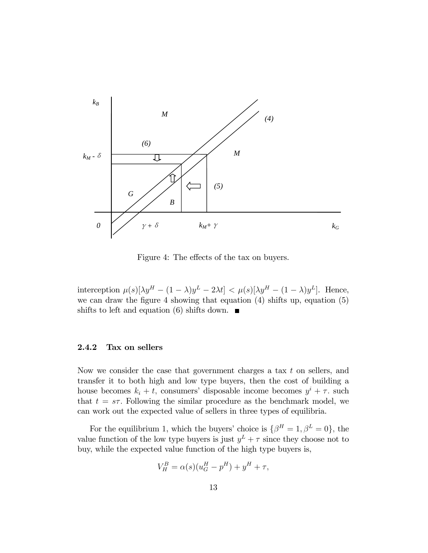

Figure 4: The effects of the tax on buyers.

interception  $\mu(s)[\lambda y^H - (1 - \lambda)y^L - 2\lambda t] < \mu(s)[\lambda y^H - (1 - \lambda)y^L]$ . Hence, we can draw the figure 4 showing that equation  $(4)$  shifts up, equation  $(5)$ shifts to left and equation (6) shifts down.  $\blacksquare$ 

#### 2.4.2 Tax on sellers

Now we consider the case that government charges a tax  $t$  on sellers, and transfer it to both high and low type buyers, then the cost of building a house becomes  $k_i + t$ , consumers' disposable income becomes  $y^i + \tau$ . such that  $t = s\tau$ . Following the similar procedure as the benchmark model, we can work out the expected value of sellers in three types of equilibria.

For the equilibrium 1, which the buyers' choice is  $\{\beta^H = 1, \beta^L = 0\}$ , the value function of the low type buyers is just  $y^L + \tau$  since they choose not to buy, while the expected value function of the high type buyers is,

$$
V_H^B = \alpha(s)(u_G^H - p^H) + y^H + \tau,
$$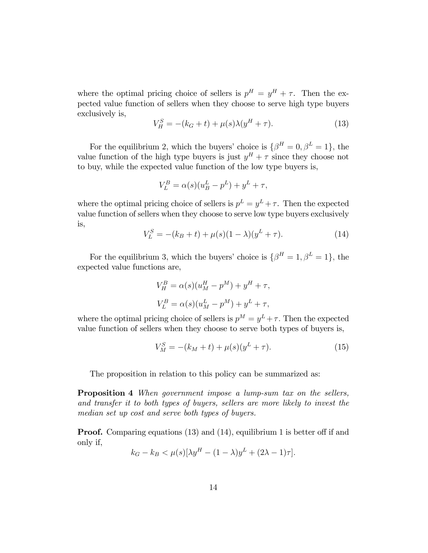where the optimal pricing choice of sellers is  $p^H = y^H + \tau$ . Then the expected value function of sellers when they choose to serve high type buyers exclusively is,

$$
V_H^S = -(k_G + t) + \mu(s)\lambda(y^H + \tau).
$$
 (13)

For the equilibrium 2, which the buyers' choice is  $\{\beta^H = 0, \beta^L = 1\}$ , the value function of the high type buyers is just  $y^H + \tau$  since they choose not to buy, while the expected value function of the low type buyers is,

$$
V_L^B = \alpha(s)(u_B^L - p^L) + y^L + \tau,
$$

where the optimal pricing choice of sellers is  $p^L = y^L + \tau$ . Then the expected value function of sellers when they choose to serve low type buyers exclusively is,

$$
V_L^S = -(k_B + t) + \mu(s)(1 - \lambda)(y^L + \tau). \tag{14}
$$

For the equilibrium 3, which the buyers' choice is  $\{\beta^H = 1, \beta^L = 1\}$ , the expected value functions are,

$$
V_H^B = \alpha(s)(u_M^H - p^M) + y^H + \tau,
$$
  

$$
V_L^B = \alpha(s)(u_M^L - p^M) + y^L + \tau,
$$

where the optimal pricing choice of sellers is  $p^M = y^L + \tau$ . Then the expected value function of sellers when they choose to serve both types of buyers is,

$$
V_M^S = -(k_M + t) + \mu(s)(y^L + \tau). \tag{15}
$$

The proposition in relation to this policy can be summarized as:

**Proposition 4** When government impose a lump-sum tax on the sellers, and transfer it to both types of buyers, sellers are more likely to invest the median set up cost and serve both types of buyers.

**Proof.** Comparing equations  $(13)$  and  $(14)$ , equilibrium 1 is better off if and only if,

$$
k_G - k_B < \mu(s)[\lambda y^H - (1 - \lambda)y^L + (2\lambda - 1)\tau].
$$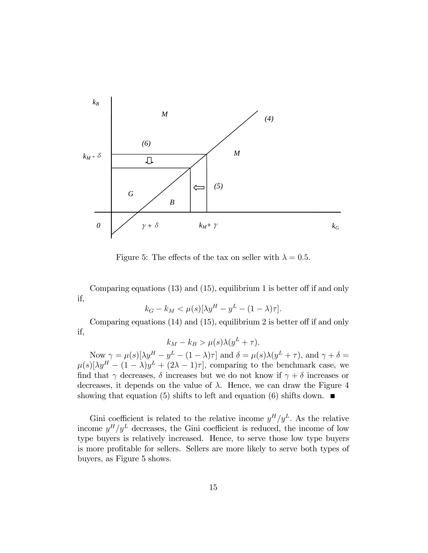

Figure 5: The effects of the tax on seller with  $\lambda = 0.5$ .

Comparing equations  $(13)$  and  $(15)$ , equilibrium 1 is better off if and only if,

$$
k_G - k_M < \mu(s)[\lambda y^H - y^L - (1 - \lambda)\tau].
$$

Comparing equations  $(14)$  and  $(15)$ , equilibrium 2 is better off if and only if,

$$
k_M - k_B > \mu(s)\lambda(y^L + \tau).
$$

Now  $\gamma = \mu(s)[\lambda y^H - y^L - (1 - \lambda)\tau]$  and  $\delta = \mu(s)\lambda(y^L + \tau)$ , and  $\gamma + \delta =$  $\mu(s)[\lambda y^H - (1 - \lambda)y^L + (2\lambda - 1)\tau],$  comparing to the benchmark case, we find that  $\gamma$  decreases,  $\delta$  increases but we do not know if  $\gamma + \delta$  increases or decreases, it depends on the value of  $\lambda$ . Hence, we can draw the Figure 4 showing that equation (5) shifts to left and equation (6) shifts down.  $\blacksquare$ 

Gini coefficient is related to the relative income  $y^H/y^L$ . As the relative income  $y^H/y^L$  decreases, the Gini coefficient is reduced, the income of low type buyers is relatively increased. Hence, to serve those low type buyers is more profitable for sellers. Sellers are more likely to serve both types of buyers, as Figure 5 shows.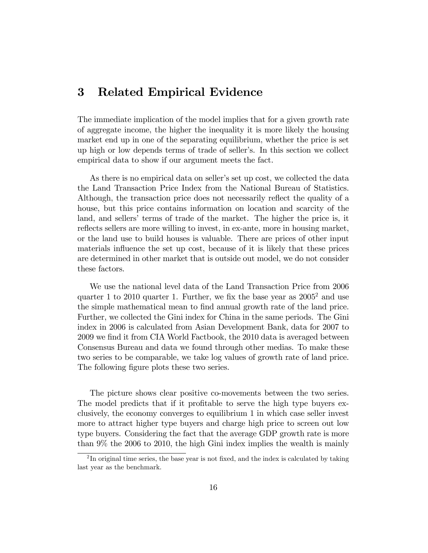# 3 Related Empirical Evidence

The immediate implication of the model implies that for a given growth rate of aggregate income, the higher the inequality it is more likely the housing market end up in one of the separating equilibrium, whether the price is set up high or low depends terms of trade of sellerís. In this section we collect empirical data to show if our argument meets the fact.

As there is no empirical data on seller's set up cost, we collected the data the Land Transaction Price Index from the National Bureau of Statistics. Although, the transaction price does not necessarily reflect the quality of a house, but this price contains information on location and scarcity of the land, and sellers' terms of trade of the market. The higher the price is, it reflects sellers are more willing to invest, in ex-ante, more in housing market, or the land use to build houses is valuable. There are prices of other input materials influence the set up cost, because of it is likely that these prices are determined in other market that is outside out model, we do not consider these factors.

We use the national level data of the Land Transaction Price from 2006 quarter 1 to 2010 quarter 1. Further, we fix the base year as  $2005^2$  and use the simple mathematical mean to find annual growth rate of the land price. Further, we collected the Gini index for China in the same periods. The Gini index in 2006 is calculated from Asian Development Bank, data for 2007 to 2009 we find it from CIA World Factbook, the 2010 data is averaged between Consensus Bureau and data we found through other medias. To make these two series to be comparable, we take log values of growth rate of land price. The following figure plots these two series.

The picture shows clear positive co-movements between the two series. The model predicts that if it profitable to serve the high type buyers exclusively, the economy converges to equilibrium 1 in which case seller invest more to attract higher type buyers and charge high price to screen out low type buyers. Considering the fact that the average GDP growth rate is more than 9% the 2006 to 2010, the high Gini index implies the wealth is mainly

 $2<sup>2</sup>$ In original time series, the base year is not fixed, and the index is calculated by taking last year as the benchmark.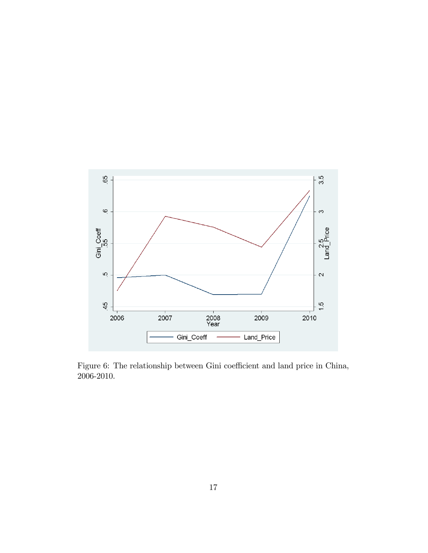

Figure 6: The relationship between Gini coefficient and land price in China, 2006-2010.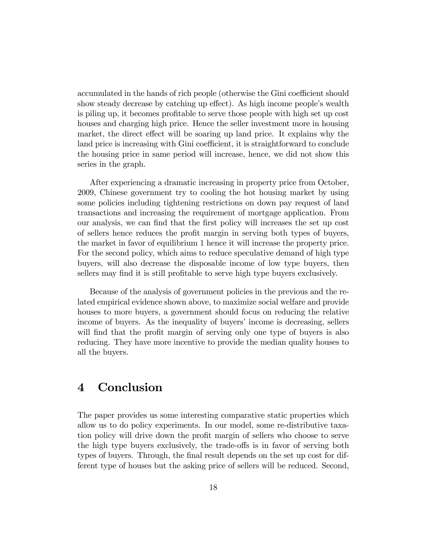accumulated in the hands of rich people (otherwise the Gini coefficient should show steady decrease by catching up effect). As high income people's wealth is piling up, it becomes profitable to serve those people with high set up cost houses and charging high price. Hence the seller investment more in housing market, the direct effect will be soaring up land price. It explains why the land price is increasing with Gini coefficient, it is straightforward to conclude the housing price in same period will increase, hence, we did not show this series in the graph.

After experiencing a dramatic increasing in property price from October, 2009, Chinese government try to cooling the hot housing market by using some policies including tightening restrictions on down pay request of land transactions and increasing the requirement of mortgage application. From our analysis, we can find that the first policy will increases the set up cost of sellers hence reduces the profit margin in serving both types of buyers, the market in favor of equilibrium 1 hence it will increase the property price. For the second policy, which aims to reduce speculative demand of high type buyers, will also decrease the disposable income of low type buyers, then sellers may find it is still profitable to serve high type buyers exclusively.

Because of the analysis of government policies in the previous and the related empirical evidence shown above, to maximize social welfare and provide houses to more buyers, a government should focus on reducing the relative income of buyers. As the inequality of buyers' income is decreasing, sellers will find that the profit margin of serving only one type of buyers is also reducing. They have more incentive to provide the median quality houses to all the buyers.

# 4 Conclusion

The paper provides us some interesting comparative static properties which allow us to do policy experiments. In our model, some re-distributive taxation policy will drive down the profit margin of sellers who choose to serve the high type buyers exclusively, the trade-offs is in favor of serving both types of buyers. Through, the final result depends on the set up cost for different type of houses but the asking price of sellers will be reduced. Second,